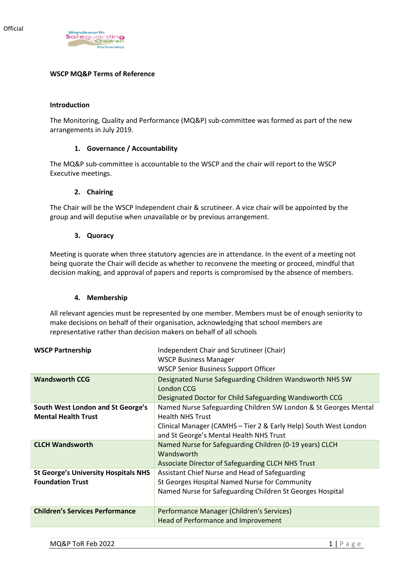

### **WSCP MQ&P Terms of Reference**

#### **Introduction**

The Monitoring, Quality and Performance (MQ&P) sub-committee was formed as part of the new arrangements in July 2019.

## **1. Governance / Accountability**

The MQ&P sub-committee is accountable to the WSCP and the chair will report to the WSCP Executive meetings.

#### **2. Chairing**

The Chair will be the WSCP Independent chair & scrutineer. A vice chair will be appointed by the group and will deputise when unavailable or by previous arrangement.

### **3. Quoracy**

Meeting is quorate when three statutory agencies are in attendance. In the event of a meeting not being quorate the Chair will decide as whether to reconvene the meeting or proceed, mindful that decision making, and approval of papers and reports is compromised by the absence of members.

### **4. Membership**

All relevant agencies must be represented by one member. Members must be of enough seniority to make decisions on behalf of their organisation, acknowledging that school members are representative rather than decision makers on behalf of all schools

| <b>WSCP Partnership</b>                     | Independent Chair and Scrutineer (Chair)                         |
|---------------------------------------------|------------------------------------------------------------------|
|                                             | <b>WSCP Business Manager</b>                                     |
|                                             | <b>WSCP Senior Business Support Officer</b>                      |
| <b>Wandsworth CCG</b>                       | Designated Nurse Safeguarding Children Wandsworth NHS SW         |
|                                             | London CCG                                                       |
|                                             | Designated Doctor for Child Safeguarding Wandsworth CCG          |
| South West London and St George's           | Named Nurse Safeguarding Children SW London & St Georges Mental  |
| <b>Mental Health Trust</b>                  | <b>Health NHS Trust</b>                                          |
|                                             | Clinical Manager (CAMHS - Tier 2 & Early Help) South West London |
|                                             | and St George's Mental Health NHS Trust                          |
| <b>CLCH Wandsworth</b>                      | Named Nurse for Safeguarding Children (0-19 years) CLCH          |
|                                             | Wandsworth                                                       |
|                                             | Associate Director of Safeguarding CLCH NHS Trust                |
| <b>St George's University Hospitals NHS</b> | Assistant Chief Nurse and Head of Safeguarding                   |
| <b>Foundation Trust</b>                     | St Georges Hospital Named Nurse for Community                    |
|                                             | Named Nurse for Safeguarding Children St Georges Hospital        |
|                                             |                                                                  |
| <b>Children's Services Performance</b>      | Performance Manager (Children's Services)                        |
|                                             | Head of Performance and Improvement                              |
|                                             |                                                                  |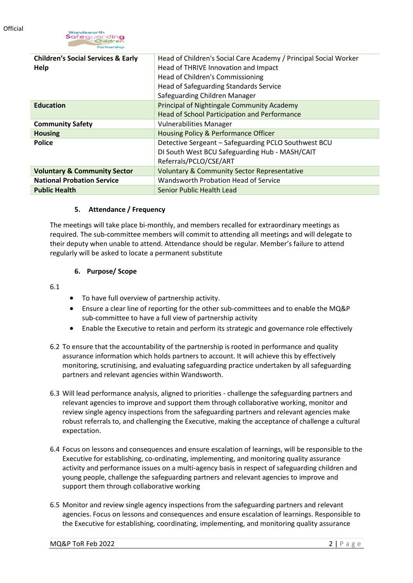

| <b>Children's Social Services &amp; Early</b><br>Help | Head of Children's Social Care Academy / Principal Social Worker<br>Head of THRIVE Innovation and Impact<br>Head of Children's Commissioning<br>Head of Safeguarding Standards Service<br>Safeguarding Children Manager |
|-------------------------------------------------------|-------------------------------------------------------------------------------------------------------------------------------------------------------------------------------------------------------------------------|
| <b>Education</b>                                      | Principal of Nightingale Community Academy<br>Head of School Participation and Performance                                                                                                                              |
| <b>Community Safety</b>                               | <b>Vulnerabilities Manager</b>                                                                                                                                                                                          |
| <b>Housing</b>                                        | Housing Policy & Performance Officer                                                                                                                                                                                    |
| <b>Police</b>                                         | Detective Sergeant - Safeguarding PCLO Southwest BCU<br>DI South West BCU Safeguarding Hub - MASH/CAIT<br>Referrals/PCLO/CSE/ART                                                                                        |
| <b>Voluntary &amp; Community Sector</b>               | <b>Voluntary &amp; Community Sector Representative</b>                                                                                                                                                                  |
| <b>National Probation Service</b>                     | Wandsworth Probation Head of Service                                                                                                                                                                                    |
| <b>Public Health</b>                                  | Senior Public Health Lead                                                                                                                                                                                               |

### **5. Attendance / Frequency**

The meetings will take place bi-monthly, and members recalled for extraordinary meetings as required. The sub-committee members will commit to attending all meetings and will delegate to their deputy when unable to attend. Attendance should be regular. Member's failure to attend regularly will be asked to locate a permanent substitute

### **6. Purpose/ Scope**

6.1

- To have full overview of partnership activity.
- Ensure a clear line of reporting for the other sub-committees and to enable the MQ&P sub-committee to have a full view of partnership activity
- Enable the Executive to retain and perform its strategic and governance role effectively
- 6.2 To ensure that the accountability of the partnership is rooted in performance and quality assurance information which holds partners to account. It will achieve this by effectively monitoring, scrutinising, and evaluating safeguarding practice undertaken by all safeguarding partners and relevant agencies within Wandsworth.
- 6.3 Will lead performance analysis, aligned to priorities challenge the safeguarding partners and relevant agencies to improve and support them through collaborative working, monitor and review single agency inspections from the safeguarding partners and relevant agencies make robust referrals to, and challenging the Executive, making the acceptance of challenge a cultural expectation.
- 6.4 Focus on lessons and consequences and ensure escalation of learnings, will be responsible to the Executive for establishing, co-ordinating, implementing, and monitoring quality assurance activity and performance issues on a multi-agency basis in respect of safeguarding children and young people, challenge the safeguarding partners and relevant agencies to improve and support them through collaborative working
- 6.5 Monitor and review single agency inspections from the safeguarding partners and relevant agencies. Focus on lessons and consequences and ensure escalation of learnings. Responsible to the Executive for establishing, coordinating, implementing, and monitoring quality assurance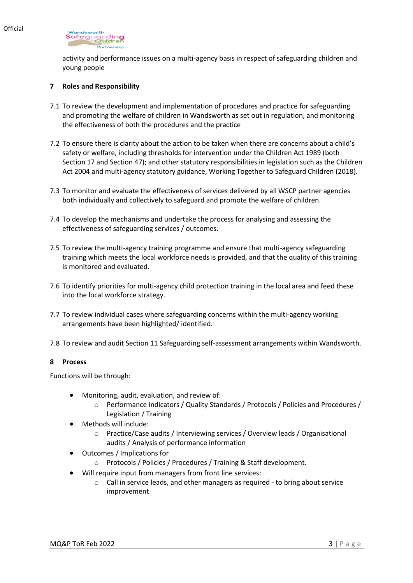

activity and performance issues on a multi-agency basis in respect of safeguarding children and young people

## **7 Roles and Responsibility**

- 7.1 To review the development and implementation of procedures and practice for safeguarding and promoting the welfare of children in Wandsworth as set out in regulation, and monitoring the effectiveness of both the procedures and the practice
- 7.2 To ensure there is clarity about the action to be taken when there are concerns about a child's safety or welfare, including thresholds for intervention under the Children Act 1989 (both Section 17 and Section 47); and other statutory responsibilities in legislation such as the Children Act 2004 and multi-agency statutory guidance, Working Together to Safeguard Children (2018).
- 7.3 To monitor and evaluate the effectiveness of services delivered by all WSCP partner agencies both individually and collectively to safeguard and promote the welfare of children.
- 7.4 To develop the mechanisms and undertake the process for analysing and assessing the effectiveness of safeguarding services / outcomes.
- 7.5 To review the multi-agency training programme and ensure that multi-agency safeguarding training which meets the local workforce needs is provided, and that the quality of this training is monitored and evaluated.
- 7.6 To identify priorities for multi-agency child protection training in the local area and feed these into the local workforce strategy.
- 7.7 To review individual cases where safeguarding concerns within the multi-agency working arrangements have been highlighted/ identified.
- 7.8 To review and audit Section 11 Safeguarding self-assessment arrangements within Wandsworth.

### **8 Process**

Functions will be through:

- Monitoring, audit, evaluation, and review of:
	- o Performance indicators / Quality Standards / Protocols / Policies and Procedures / Legislation / Training
- Methods will include:
	- o Practice/Case audits / Interviewing services / Overview leads / Organisational audits / Analysis of performance information
- Outcomes / Implications for
	- o Protocols / Policies / Procedures / Training & Staff development.
- Will require input from managers from front line services:
	- o Call in service leads, and other managers as required to bring about service improvement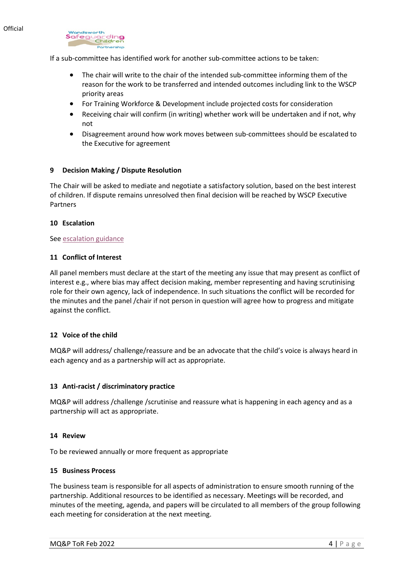

If a sub-committee has identified work for another sub-committee actions to be taken:

- The chair will write to the chair of the intended sub-committee informing them of the reason for the work to be transferred and intended outcomes including link to the WSCP priority areas
- For Training Workforce & Development include projected costs for consideration
- Receiving chair will confirm (in writing) whether work will be undertaken and if not, why not
- Disagreement around how work moves between sub-committees should be escalated to the Executive for agreement

# **9 Decision Making / Dispute Resolution**

The Chair will be asked to mediate and negotiate a satisfactory solution, based on the best interest of children. If dispute remains unresolved then final decision will be reached by WSCP Executive Partners

### **10 Escalation**

### Se[e escalation guidance](https://wscp.org.uk/media/1329/inter_agency_escalation_policy-v2.docx)

# **11 Conflict of Interest**

All panel members must declare at the start of the meeting any issue that may present as conflict of interest e.g., where bias may affect decision making, member representing and having scrutinising role for their own agency, lack of independence. In such situations the conflict will be recorded for the minutes and the panel /chair if not person in question will agree how to progress and mitigate against the conflict.

### **12 Voice of the child**

MQ&P will address/ challenge/reassure and be an advocate that the child's voice is always heard in each agency and as a partnership will act as appropriate.

### **13 Anti-racist / discriminatory practice**

MQ&P will address /challenge /scrutinise and reassure what is happening in each agency and as a partnership will act as appropriate.

### **14 Review**

To be reviewed annually or more frequent as appropriate

### **15 Business Process**

The business team is responsible for all aspects of administration to ensure smooth running of the partnership. Additional resources to be identified as necessary. Meetings will be recorded, and minutes of the meeting, agenda, and papers will be circulated to all members of the group following each meeting for consideration at the next meeting.